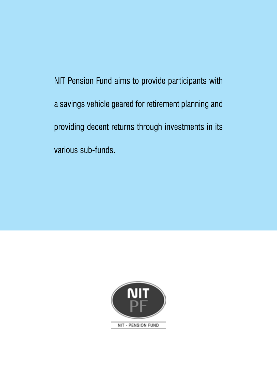NIT Pension Fund aims to provide participants with a savings vehicle geared for retirement planning and providing decent returns through investments in its various sub-funds.

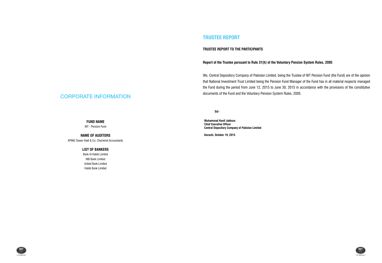## CORPORATE INFORMATION

**FUND NAME**

NIT - Pension Fund

**NAME OF AUDITORS** KPMG Taseer Hadi & Co. Chartered Accountants

### **LIST OF BANKERS**

Bank Al Habib Limited NIB Bank Limited United Bank Limited Habib Bank Limited





### **TRUSTEE REPORT TO THE PARTICIPANTS**

### **Report of the Trustee pursuant to Rule 31(h) of the Voluntary Pension System Rules, 2005**

We, Central Depository Company of Pakistan Limited, being the Trustee of NIT Pension Fund (the Fund) are of the opinion that National Investment Trust Limited being the Pension Fund Manager of the Fund has in all material respects managed the Fund during the period from June 12, 2015 to June 30, 2015 in accordance with the provisions of the constitutive documents of the Fund and the Voluntary Pension System Rules, 2005

 **Sd/-**

**Muhammad Hanif Jakhura Chief Executive Officer Central Depository Company of Pakistan Limited**

**Karachi, October 19, 2015**

### **TRUSTEE REPORT**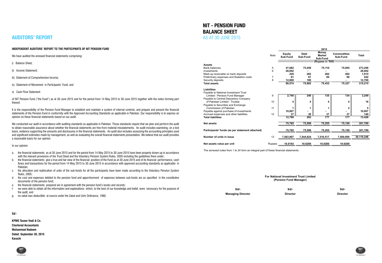### **INDEPENDENT AUDITORS' REPORT TO THE Participants of NIT Pension Fund**

We have audited the annexed financial statements comprising:

i) Balance Sheet;

ii) Income Statement;

- iii) Statement of Comprehensive Income;
- iv) Statement of Movement in Participants' Fund; and

v) Cash Flow Statement

of NIT Pension Fund ("the Fund") as at 30 June 2015 and for the period from 14 May 2015 to 30 June 2015 together with the notes forming part thereof.

It is the responsibility of the Pension Fund Manager to establish and maintain a system of internal controls; and prepare and present the financial statements of the Pension Fund in conformity with the Approved Accounting Standards as applicable in Pakistan. Our responsibility is to express an opinion on these financial statements based on our audit.

We conducted our audit in accordance with auditing standards as applicable in Pakistan. Those standards require that we plan and perform the audit to obtain reasonable assurance about whether the financial statements are free from material misstatements. An audit includes examining, on a test basis, evidence supporting the amounts and disclosures in the financial statements. An audit also includes assessing the accounting principles used and significant estimates made by management, as well as evaluating the overall financial statements presentation. We believe that our audit provides a reasonable basis for our opinion.

In our opinion:

- a. the financial statements as at 30 June 2015 and for the period from 14 May 2015 to 30 June 2015 have been properly drawn up in accordance with the relevant provisions of the Trust Deed and the Voluntary Pension System Rules, 2005 including the guidelines there under;
- b. the financial statements give a true and fair view of the financial position of the Fund as at 30 June 2015 and of its financial performance, cash flows and transactions for the period from 14 May 2015 to 30 June 2015 in accordance with approved accounting standards as applicable in Pakistan;
- c. the allocation and reallocation of units of the sub-funds for all the participants have been made according to the Voluntary Pension System Rules, 2005;
- d. the cost and expenses debited to the pension fund and apportionment of expenses between sub-funds are as specified in the constitutive documents of the pension fund;
- e. the financial statements prepared are in agreement with the pension fund's books and records;
- f. we were able to obtain all the information and explanations which, to the best of our knowledge and belief, were necessary for the purpose of the audit; and
- g. no zakat was deductible at source under the Zakat and Ushr Ordinance, 1980.

### **Sd/-**

**KPMG Taseer Hadi & Co. Chartered Accountants Muhammad Nadeem Dated: September 30, 2015 Karachi**

## **AUDITORS' REPORT**

# **NIT - PENSION FUND BALANCE SHEET** AS AT 30 JUNE 2015

**For National Investment Trust Limited (Pension Fund Manager)**

| Sd                       | Sd/-            | Sd/-            |  |  |
|--------------------------|-----------------|-----------------|--|--|
| <b>Managing Director</b> | <b>Director</b> | <b>Director</b> |  |  |





|                                                 |             |                           |                         | 2015                                      |                                |              |
|-------------------------------------------------|-------------|---------------------------|-------------------------|-------------------------------------------|--------------------------------|--------------|
|                                                 | <b>Note</b> | <b>Equity</b><br>Sub-Fund | <b>Debt</b><br>Sub-Fund | <b>Money</b><br><b>Market</b><br>Sub-Fund | <b>Commodities</b><br>Sub-Fund | <b>Total</b> |
|                                                 |             |                           |                         | (Rupees in '000)                          |                                |              |
| <b>Assets</b>                                   |             |                           |                         |                                           |                                |              |
| <b>Bank balances</b>                            | 5           | 47,682                    | 75,459                  | 75,110                                    | 75,005                         | 273,256      |
| Investments                                     | 6           | 28,002                    |                         |                                           |                                | 28,002       |
| Mark-up receivable on bank deposits             |             | 229                       | 262                     | 262                                       | 262                            | 1,015        |
| Preliminary expenses and floatation costs       | 7           | 61                        | 61                      | 60                                        | 60                             | 242          |
| Security deposits                               | 8           | 12,600                    | 100                     |                                           |                                | 12,700       |
| <b>Total assets</b>                             |             | 88,574                    | 75,882                  | 75,432                                    | 75,327                         | 315,215      |
| <b>Liabilities</b>                              |             |                           |                         |                                           |                                |              |
| Payable to National Investment Trust            |             |                           |                         |                                           |                                |              |
| Limited - Penison Fund Manager                  | 9           | 2,740                     | 240                     | 135                                       | 134                            | 3,249        |
| Payable to Central Depository Company           |             |                           |                         |                                           |                                |              |
| of Pakistan Limited - Trustee                   | 10          | 4                         | 4                       | 4                                         | 4                              | 16           |
| Payable to Securities and Exchange              |             |                           |                         |                                           |                                |              |
| Commission of Pakistan                          | 11          |                           | 1                       |                                           | 2                              |              |
| Payable against purchase of investments         |             | 10,007                    | ۰                       |                                           |                                | 10,007       |
| Accrued expenses and other liabilities          | 12          | 37                        | 38                      | 37                                        | 37                             | 149          |
| <b>Total liabilities</b>                        |             | 12,789                    | 283                     | 177                                       | 177                            | 13,426       |
| <b>Net assets</b>                               |             | 75,785                    | 75,599                  | 75,255                                    | 75,150                         | 301,789      |
| Participants' funds (as per statement attached) |             | 75,785                    | 75,599                  | 75,255                                    | 75,150                         | 301,789      |
| Number of units in issue                        | 13          | 7,563,907                 | 7,544,824               | 7,510,517                                 | 7,500,000                      | 30,119,248   |
| Net assets value per unit                       | Rupees      | 10.0193                   | 10.0200                 | 10.0200                                   | 10.0200                        |              |

The annexed notes from 1 to 24 form an integral part of these financial statements.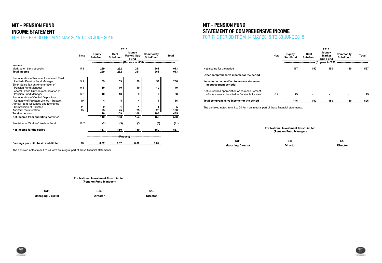# **NIT - PENSION FUND INCOME STATEMENT** FOR THE PERIOD FROM 14 MAY 2015 TO 30 JUNE 2015

|                                           |             | 2015                      |                         |                                            |                       |              |  |
|-------------------------------------------|-------------|---------------------------|-------------------------|--------------------------------------------|-----------------------|--------------|--|
|                                           | <b>Note</b> | <b>Equity</b><br>Sub-Fund | <b>Debt</b><br>Sub-Fund | <b>Money</b><br><b>Market Sub-</b><br>Fund | Commodity<br>Sub-Fund | <b>Total</b> |  |
|                                           |             |                           |                         |                                            |                       |              |  |
| Income                                    |             |                           |                         |                                            |                       |              |  |
| Mark-up on bank deposits                  | 5.1         | 229                       | 262                     | 261                                        | 261                   | 1,013        |  |
| <b>Total income</b>                       |             | 229                       | 262                     | 261                                        | 261                   | 1,013        |  |
| Remuneration of National Investment Trust |             |                           |                         |                                            |                       |              |  |
| Limited - Pension Fund Manager            | 9.1         | 59                        | 59                      | 59                                         | 59                    | 236          |  |
| Sindh Sales Tax on remuneration of        |             |                           |                         |                                            |                       |              |  |
| Pension Fund Manager                      | 9.1         | 10                        | 10                      | 10                                         | 10                    | 40           |  |
| Federal Excise Duty on remuneration of    |             |                           |                         |                                            |                       |              |  |
| Pension Fund Manager                      | 12.1        | 10                        | 10                      | 9                                          | 9                     | 38           |  |
| Remuneration of Central Depository        |             |                           |                         |                                            |                       |              |  |
| Company of Pakistan Limited - Trustee     | 10          | 4                         | 4                       | 4                                          | 4                     | 16           |  |
| Annual fee to Securities and Exchange     |             |                           |                         |                                            |                       |              |  |
| Commission of Pakistan                    | 11          | 2                         | 1                       | 1                                          |                       | 5            |  |
| Auditors' remuneration                    | 15          | 25                        | 25                      | 25                                         | 25                    | 100          |  |
| <b>Total expenses</b>                     |             | 110                       | 109                     | 108                                        | 108                   | 435          |  |
| Net income from operating activities      |             | 119                       | 153                     | 153                                        | 153                   | 578          |  |
| Provision for Workers' Welfare Fund       | 12.2        | (2)                       | (3)                     | (3)                                        | (3)                   | (11)         |  |
| Net income for the period                 |             | 117                       | 150                     | 150                                        | 150                   | 567          |  |
|                                           |             |                           |                         | (Rupees) ------------------------          |                       |              |  |
| Earnings per unit - basic and diluted     | 16          | 0.02                      | 0.02                    | 0.02                                       | 0.02                  |              |  |

The annexed notes from 1 to 24 form an integral part of these financial statements.

## **NIT - PENSION FUND STATEMENT OF COMPREHENSIVE INCOME** FOR THE PERIOD FROM 14 MAY 2015 TO 30 JUNE 2015

|                                                                                                    |             |                                                                        |                         | 2015                                      |                              |              |
|----------------------------------------------------------------------------------------------------|-------------|------------------------------------------------------------------------|-------------------------|-------------------------------------------|------------------------------|--------------|
|                                                                                                    | <b>Note</b> | <b>Equity</b><br>Sub-Fund                                              | <b>Debt</b><br>Sub-Fund | <b>Money</b><br><b>Market</b><br>Sub-Fund | <b>Commodity</b><br>Sub-Fund | <b>Total</b> |
|                                                                                                    |             |                                                                        |                         | (Rupees in '000)                          | -----------------------      |              |
| Net income for the period                                                                          |             | 117                                                                    | 150                     | 150                                       | 150                          | 567          |
| Other comprehensive income for the period                                                          |             |                                                                        |                         |                                           |                              |              |
| Items to be reclassified to income statement<br>in subsequent periods:                             |             |                                                                        |                         |                                           |                              |              |
| Net unrealised appreciation on re-measurement<br>of investments classified as 'available for sale' | 6.2         | 29                                                                     |                         |                                           |                              | 29           |
| Total comprehensive income for the period                                                          |             | 146                                                                    | 150                     | 150                                       | 150                          | 596          |
| The annexed notes from 1 to 24 form an integral part of these financial statements.                |             | <b>For National Investment Trust Limited</b><br>(Pension Fund Manager) |                         |                                           |                              |              |
|                                                                                                    |             |                                                                        |                         |                                           |                              |              |
| $Sd$ -                                                                                             |             | Sd                                                                     |                         |                                           | Sd                           |              |
| <b>Managing Director</b>                                                                           |             | <b>Director</b>                                                        |                         |                                           | <b>Director</b>              |              |





**For National Investment Trust Limited (Pension Fund Manager)**

**Sd/- Sd/- Sd/- Managing Director Director Director**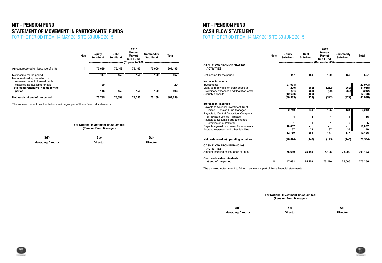# **NIT - PENSION FUND Statement of Movement in Participants' Funds**

FOR THE PERIOD FROM 14 MAY 2015 TO 30 JUNE 2015

|                                                             |      |                           |                         | 2015                                      |                                      |              |                                   |
|-------------------------------------------------------------|------|---------------------------|-------------------------|-------------------------------------------|--------------------------------------|--------------|-----------------------------------|
|                                                             | Note | <b>Equity</b><br>Sub-Fund | <b>Debt</b><br>Sub-Fund | <b>Money</b><br><b>Market</b><br>Sub-Fund | Commodity<br>Sub-Fund                | <b>Total</b> |                                   |
|                                                             |      |                           |                         |                                           | (Rupees in '000) ------------------- |              |                                   |
| Amount received on issuance of units                        | 14   | 75.639                    | 75.449                  | 75,105                                    | 75.000                               | 301,193      | <b>CASH FLO</b><br><b>ACTIVIT</b> |
| Net income for the period<br>Net unrealised appreciation on |      | 117                       | 150                     | 150                                       | 150                                  | 567          | Net income                        |
| re-measurement of investments                               |      |                           |                         |                                           |                                      |              | Increase in                       |
| classified as 'available for sale'                          |      | 29                        |                         |                                           | $\blacksquare$                       | 29           | Investments                       |
| Total comprehensive income for the                          |      |                           |                         |                                           |                                      |              | Mark-up red                       |
| period                                                      |      | 146                       | 150                     | 150                                       | 150                                  | 596          | Preliminary                       |
|                                                             |      |                           |                         |                                           |                                      |              | Security de                       |
| Net assets at end of the period                             |      | 75,785                    | 75,599                  | 75,255                                    | 75,150                               | 301,789      |                                   |

The annexed notes from 1 to 24 form an integral part of these financial statements.

# **NIT - PENSION FUND CASH FLOW STATEMENT**

## FOR THE PERIOD FROM 14 MAY 2015 TO 30 JUNE 2015

|                                                                                                                                                                                                                                                                                               |             |                                 |                          | 2015                                      |                                           |                            |
|-----------------------------------------------------------------------------------------------------------------------------------------------------------------------------------------------------------------------------------------------------------------------------------------------|-------------|---------------------------------|--------------------------|-------------------------------------------|-------------------------------------------|----------------------------|
|                                                                                                                                                                                                                                                                                               | <b>Note</b> | <b>Equity</b><br>Sub-Fund       | <b>Debt</b><br>Sub-Fund  | <b>Money</b><br><b>Market</b><br>Sub-Fund | Commodity<br>Sub-Fund                     | <b>Total</b>               |
|                                                                                                                                                                                                                                                                                               |             |                                 |                          |                                           | (Rupees in '000) ------------------------ |                            |
| <b>CASH FLOW FROM OPERATING</b><br><b>ACTIVITIES</b>                                                                                                                                                                                                                                          |             |                                 |                          |                                           |                                           |                            |
| Net income for the period                                                                                                                                                                                                                                                                     |             | 117                             | 150                      | 150                                       | 150                                       | 567                        |
| Increase in assets                                                                                                                                                                                                                                                                            |             |                                 |                          |                                           |                                           |                            |
| Investments                                                                                                                                                                                                                                                                                   |             | (27, 973)                       |                          |                                           |                                           | (27, 973)                  |
| Mark-up receivable on bank deposits                                                                                                                                                                                                                                                           |             | (229)                           | (262)                    | (262)                                     | (262)                                     | (1,015)                    |
| Preliminary expenses and floatation costs                                                                                                                                                                                                                                                     |             | (61)                            | (61)                     | (60)                                      | (60)                                      | (242)                      |
| Security deposits                                                                                                                                                                                                                                                                             |             | (12,600)                        | (100)                    |                                           |                                           | (12,700)                   |
|                                                                                                                                                                                                                                                                                               |             | (40, 863)                       | (423)                    | (322)                                     | (322)                                     | (41, 930)                  |
| Increase in liabilities<br>Payable to National Investment Trust<br>Limited - Pension Fund Manager<br>Payable to Central Depository Company<br>of Pakistan Limited - Trustee<br>Payable to Securities and Exchange<br><b>Commission of Pakistan</b><br>Payable against purchase of investments |             | 2,740<br>4<br>1<br>10,007<br>37 | 240<br>4<br>1<br>۰<br>38 | 135<br>4<br>1<br>37                       | 134<br>4<br>$\mathbf{2}$<br>ä,            | 3,249<br>16<br>5<br>10,007 |
| Accrued expenses and other liabilities                                                                                                                                                                                                                                                        |             | 12,789                          | 283                      | 177                                       | 37<br>177                                 | 149<br>13,426              |
| Net cash (used in) operating activities                                                                                                                                                                                                                                                       |             | (28, 074)                       | (140)                    | (145)                                     | (145)                                     | (28, 504)                  |
| <b>CASH FLOW FROM FINANCING</b><br><b>ACTIVITIES</b><br>Amount received on issuance of units                                                                                                                                                                                                  |             | 75,639                          | 75,449                   | 75,105                                    | 75,000                                    | 301,193                    |
| Cash and cash equivalents<br>at end of the period                                                                                                                                                                                                                                             | 5           | 47,682                          | 75,459                   | 75,110                                    | 75.005                                    | 273,256                    |

The annexed notes from 1 to 24 form an integral part of these financial statements.

### **For National Investment Trust Limited (Pension Fund Manager)**

**Sd/- Sd/- Sd/-**

**Managing Director Director Director**

**For National Investment Trust Limited (Pension Fund Manager)**

**Sd/- Sd/- Sd/- Managing Director Director Director**



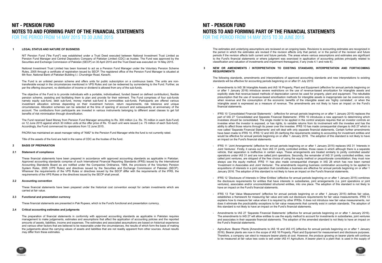### **NIT - PENSION FUND NOTES TO AND FORMING PART OF THE FINANCIAL STATEMENTS** FOR THE PERIOD FROM 14 MAY 2015 TO 30 JUNE 2015

### **1 LEGAL STATUS AND NATURE OF BUSINESS**

PACRA has maintained an asset manager rating of "AM2" to the Pension Fund Manager while the fund is not currently rated.

Title of the assets of the fund are held in the name of CDC as the trustee of the fund.

### **2 BASIS OF PREPARATION**

### **2.1 Statement of compliance**

### **2.2 Accounting convention**

### **2.3 Functional and presentation currency**

These financial statements are presented in Pak Rupees, which is the Fund's functional and presentation currency.

### **2.4 Critical accounting estimates and judgments**

The Fund received Seed Money from Pension Fund Manager amounting to Rs. 300 million (i.e. Rs. 75 million in each Sub-Fund) on 12 June 2015 against which 30 million units at the offer price of Rs. 10 each unit were issued (i.e. 75 million of each Sub-fund). Accordingly, the Fund commenced its operations from 12 June 2015.

 $t_{\rm eff}$  statements or where judgment was exercised in application of accounting policies principally related to accounting policies principally related to accounting policies principally related to account of accounting classification and valuation of investments and impairment thereagainst, if any (note 4.1 and note 6).

These financial statements have been prepared in accordance with approved accounting standards as applicable in Pakistan. Approved accounting standards comprise of such International Financial Reporting Standards (IFRS) issued by the International Accounting Standards Board as are notified under the Companies Ordinance, 1984, the provisions of the Voluntary Pension System Rules, 2005 (VPS Rules) and directives issued by the Securities and Exchange Commission of Pakistan (SECP). Wherever the requirements of the VPS Rules or directives issued by the SECP differ with the requirements of the IFRS, the requirements of the VPS Rules or the directives issued by the SECP shall prevail.

These financial statements have been prepared under the historical cost convention except for certain investments which are carried at fair value.

The preparation of financial statements in conformity with approved accounting standards as applicable in Pakistan requires management to make judgements, estimates and assumptions that affect the application of accounting policies and the reported amounts of assets, liabilities, income and expenses. The estimates and associated assumptions are based on historical experience and various other factors that are believed to be reasonable under the circumstances, the results of which form the basis of making the judgements about the carrying values of assets and liabilities that are not readily apparent from other sources. Actual results may differ from these estimates.

NIT Pension Fund ("the Fund") was established under a Trust Deed executed between National Investment Trust Limited as Pension Fund Manager and Central Depository Company of Pakistan Limited (CDC) as trustee. The Fund was approved by the Securities and Exchange Commission of Pakistan (SECP) on 30 April 2015 and the Trust Deed was executed on 14 May 2015.

National Investment Trust Limited has been licensed to act as a Pension Fund Manager under the Voluntary Pension Scheme Rules, 2005 through a certifcate of registration issued by SECP. The registered office of the Pension Fund Manager is situated at 6th floor, National Bank of Pakistan Building I.I. Chundrigar Road, Karachi.

### **NIT - PENSION FUND** NOTES TO AND FORMING PART OF THE FINANCIAL STATEMENTS FOR THE PERIOD FROM 14 MAY 2015 TO 30 JUNE 2015 amounts of assets, liabilities, income and expenses. The estimates and associated assumptions are based on historical experience the judgements about the carrying values of assets and liabilities that are not readily apparent from other sources. Actual results

The Fund is an unlisted pension scheme and offers units for public subscription on a continuous basis. The units are nontransferable except in the circumstances mentioned in VPS Rules and can be redeemed by surrendering to the Fund. Further, as per the offering document, no distribution of income or dividend is allowed from any of the sub-funds.

The objective of the Fund is to provide individuals with a portable, individualised, funded (based on defined contribution), flexible pension scheme, assisting and facilitating them to plan and provide for their retirment. The Fund comprises of four sub-funds namely equity sub-fund, debt sub-fund, money market sub-fund & commodities sub-funds. Participants are offered various investment allocation schmes depending on their investment horizon, return requirements, risk tolerance and unique circumstances. Allocation schemes can be selected at the time of opening of account and subsequently at anniversary of the account. The contibutions from participants are invested in various instruments belonging to different asset classes to get full benefits of risk minimisation through diversification.

#### **3 NEW OR AMENDMENTS / INTERPRETATION TO EXISTING STANDARD, INTERPRETATION AND FORTHCOMING REQUIREMENTS**

The following standards, amendments and interpretations of approved accounting standards and new interpretations to existing standards will be effective for accounting periods beginning on or after 01 July 2015:

The estimates and underlying assumptions are reviewed on an ongoing basis. Revisions to accounting estimates are recognized in the period in which the estimates are revised if the revision affects only that period, or in the period of the revision and future periods if the revision affects both current and future periods. The areas where various assumptions and estimates are significant to the Fund's financial statements or where judgment was exercised in application of accounting policies principally related to classification and valuation of investments and impairment thereagainst, if any (note 4.1 and note 6).

- Amendments to IAS 38 Intangible Assets and IAS 16 Property, Plant and Equipment (effective for annual periods beginning on or after 1 January 2016) introduce severe restrictions on the use of revenue-based amortization for intangible assets and explicitly state that revenue-based methods of depreciation cannot be used for property, plant and equipment. The rebuttable presumption that the use of revenue-based amortisation methods for intangible assets is inappropriate can be overcome only when revenue and the consumption of the economic benefits of the intangible asset are 'highly correlated', or when the intangible asset is expressed as a measure of revenue. The amendments are not likely to have an impact on the Fund's financial statements.
- IFRS 10 'Consolidated Financial Statements' (effective for annual periods beginning on or after 1 January 2015) replaces the part of IAS 27 'Consolidated and Separate Financial Statements'. IFRS 10 introduces a new approach to determining which investees should be consolidated. The single model to be applied in the control analysis requires that an investor controls an investee when the investor is exposed, or has rights, to variable returns from its involvement with the investee and has the ability to affect those returns through its power over the investee. IFRS 10 has made consequential changes to IAS 27 which is now called 'Separate Financial Statements' and will deal with only separate financial statements. Certain further amendments have been made to IFRS 10, IFRS 12 and IAS 28 clarifying the requirements relating to accounting for investment entities and would be effective for annual periods beginning on or after 1 January 2016. The adoption of this standard is not likely to have an impact on the Fund's financial statements.
- IFRS 11 'Joint Arrangements' (effective for annual periods beginning on or after 1 January 2015) replaces IAS 31 'Interests in Joint Ventures'. Firstly, it carves out, from IAS 31 jointly controlled entities, those cases in which although there is a separate vehicle, that separation is ineffective in certain ways. These arrangements are treated similarly to jointly controlled assets/ operations under IAS 31 and are now called joint operations. Secondly, the remainder of IAS 31 jointly controlled entities, now called joint ventures, are stripped of the free choice of using the equity method or proportionate consolidation; they must now always use the equity method. IFRS 11 has also made consequential changes in IAS 28 which has now been named 'Investment in Associates and Joint Ventures'. The amendments requiring business combination accounting to be applied to acquisitions of interests in a joint operation that constitutes a business are effective for annual periods beginning on or after 1 January 2016. The adoption of this standard is not likely to have an impact on the Fund's financial statements.
- IFRS 12 'Disclosure of Interests in Other Entities' (effective for annual periods beginning on or after 1 January 2015) combines the disclosure requirements for entities that have interests in subsidiaries, joint arrangements (i.e. joint operations or joint ventures), associates and/or unconsolidated structured entities, into one place. The adoption of this standard is not likely to have an impact on the Fund's financial statements.
- IFRS 13 'Fair Value Measurement' (effective for annual periods beginning on or after 1 January 2015) defines fair value, establishes a framework for measuring fair value and sets out disclosure requirements for fair value measurements. IFRS 13 explains how to measure fair value when it is required by other IFRSs. It does not introduce new fair value measurements, nor does it eliminate the practicability exceptions to fair value measurents that currently exist in certain standards. The adoption of this standard is not likely to have an impact on the Fund's financial statements.
- Amendments to IAS 27 'Separate Financial Statements' (effective for annual periods beginning on or after 1 January 2016). The amendments to IAS 27 will allow entities to use the equity method to account for investments in subsidiaries, joint ventures and associates in their separate financial statements. The adoption of the amended standard is not likely to have an impact on the Fund's financial statements.
- Agriculture: Bearer Plants [Amendments to IAS 16 and IAS 41] (effective for annual periods beginning on or after 1 January 2016). Bearer plants are now in the scope of IAS 16 Property, Plant and Equipment for measurement and disclosure purposes. Therefore, a company can elect to measure bearer plants at cost. However, the produce growing on bearer plants will continue to be measured at fair value less costs to sell under IAS 41 Agriculture. A bearer plant is a plant that: is used in the supply of

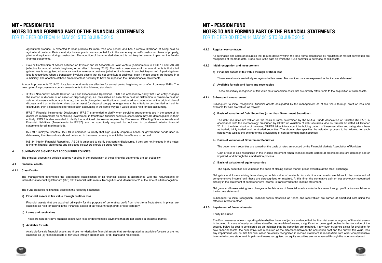Annual Improvements 2012-2014 cycles (amendments are effective for annual period beginning on or after 1 January 2016). The new cycle of improvements contain amendments to the following standards:

- Sale or Contribution of Assets between an Investor and its Associate or Joint Venture (Amendments to IFRS 10 and IAS 28) [effective for annual periods beginning on or after 1 January 2016]. The main consequence of the amendments is that a full gain or loss is recognised when a transaction involves a business (whether it is housed in a subsidiary or not). A partial gain or loss is recognised when a transaction involves assets that do not constitute a business, even if these assets are housed in a subsidiary. The adoption of these amendments is not likely to have an impact on the Fund's financial statements.

2016). Bearer plants are now in the scope of IAS 16 Property, Plant and Equipment for measurement and disclosure purposes.

agricultural produce; is expected to bear produce for more than one period; and has a remote likelihood of being sold as agricultural produce. Before maturity, bearer plants are accounted for in the same way as self-constructed items of property, plant and equipment during construction. The adoption of the amended standard is not likely to have an impact on the Fund's financial statements.

- IFRS 5 Non-current Assets Held for Sale and Discontinued Operations. IFRS 5 is amended to clarify that if an entity changes the method of disposal of an asset (or disposal group) i.e. reclassifies an asset from held for distribution to owners to held for sale or vice versa without any time lag, then such change in classification is considered as continuation of the original plan of disposal and if an entity determines that an asset (or disposal group) no longer meets the criteria to be classified as held for distribution, then it ceases held for distribution accounting in the same way as it would cease held for sale accounting.
- IFRS 7 'Financial Instruments- Disclosures'. IFRS 7 is amended to clarify when servicing arrangements are in the scope of its disclosure requirements on continuing involvement in transferred financial assets in cases when they are derecognized in their entirety. IFRS 7 is also amended to clarify that additional disclosures required by 'Disclosures: Offsetting Financial Assets and Financial Liabilities (Amendments to IFRS7)' are not specifically required for inclusion in condensed interim financial statements for all interim periods.
- IAS 19 'Employee Benefits'. IAS 19 is amended to clarify that high quality corporate bonds or government bonds used in determining the discount rate should be issued in the same currency in which the benefits are to be paid.
- IAS 34 'Interim Financial Reporting'. IAS 34 is amended to clarify that certain disclosures, if they are not included in the notes to interim financial statements and disclosed elsewhere should be cross referred.

### FOR THE PERIOD FROM 14 MAY 2015 TO 30 JUNE 2015 The amendments to IAS 27 will allow entities to use the equity method to account for investments in subsidiaries, joint ventures **NIT - PENSION FUND** associates in the adoption of the adoption of the amended statements. The amended statements on impact on the amended statements. The amended statement of the amended standard is not likely to have an impact on the amended the Fund's financial statements. **NOTES TO AND FORMING PART OF THE FINANCIAL STATEMENTS**

### **4 SUMMARY OF SIGNIFICANT ACCOUNTING POLICIES**

The principal accounting policies adopted / applied in the preparation of these financial statements are set out below.

### **4.1 Financial assets**

### **4.1.1 Classification**

The Fund classifies its financial assets in the following categories:

### **a) Financial assets at fair value through profit or loss**

### **b) Loans and receivables**

These are non-derivative financial assets with fixed or determinable payments that are not quoted in an active market.

### **c) Available for sale**

The management determines the appropriate classification of its financial assets in accordance with the requirements of International Accounting Standard (IAS) 39: 'Financial Instruments: Recognition and Measurement', at the time of initial recognition.

Financial assets that are acquired principally for the purpose of generating profit from short-term fluctuations in prices are classified as held for trading in the 'Financial assets at fair value through profit or loss' category.

Available-for-sale financial assets are those non-derivative financial assets that are designated as available-for-sale or are not classified as (a) financial assets at fair value through profit or loss, or (b) loans and receivables.

### **4.1.2 Regular way contracts**

**4.1.3 Initial recognition and measurement**

### **a) Financial assets at fair value through profit or loss**

These investments are initially recognised at fair value. Transaction costs are expensed in the income statement.

### **b) Available for sale and loans and receivables**

These are initially recognised at fair value plus transaction costs that are directly attributable to the acquisition of such assets.

### **4.1.4 Subsequent measurement**

### **a) Basis of valuation of Debt Securities (other than Government Securities)**

The debt securities are valued on the basis of rates determined by the Mutual Funds Association of Pakistan (MUFAP) in accordance with the methodology prescribed by SECP for valuation of debt securities vide its Circular 33 dated 24 October 2012. In the determination of the rates, MUFAP takes into account the holding pattern of these securities and categorises them as traded, thinly traded and non-traded securities. The circular also specifies the valuation process to be followed for each category as well as the criteria for the provisioning of non-performing debt securities.

All purchases and sales of securities that require delivery within the time frame established by regulation or market convention are recognised at the trade date. Trade date is the date on which the Fund commits to purchase or sell assets.

Subsequent to initial recognition, financial assets designated by the management as at fair value through profit or loss and available for sale are valued as follows:

### **b) Basis of valuation of Government Securities**

The government securities are valued on the basis of rates announced by the Financial Markets Association of Pakistan.

### **c) Basis of valuation of equity securities**

The equity securities are valued on the basis of closing quoted market prices available at the stock exchange.

### **4.1.5 Impairment of financial assets**

### These are non-derivative financial assets with fixed or determinable payments that are not quoted in an active market. **c) Available for sale NOTES TO AND FORMING PART OF THE FINANCIAL STATEMENTS**  $A$  assets are those non-derivative financial assets that are designated as available-for-sale or are not are not are not are not are not as available-for-sale or are not are not are not are not are not are not are not ar **NIT - PENSION FUND** FOR THE PERIOD FROM 14 MAY 2015 TO 30 JUNE 2015

### Equity Securities

The Fund assesses at each reporting date whether there is objective evidence that the financial asset or a group of financial assets is impaired. In case of equity securities classified as available-for-sale, a significant or prolonged decline in the fair value of the security below its cost is considered as an indicator that the securities are impaired. If any such evidence exists for available for sale financial assets, the cumulative loss measured as the difference between the acquisition cost and the current fair value, less any impairment loss on that financial asset previously recognised in income statement is reclassified from other comprehensive income to income statement. Impairment losses recognised on equity securities are not reversed through the income statement.



Gain or loss is also recognised in the 'income statement' when financial assets carried at amortised cost are derecognised or impaired, and through the amortisation process.

Net gains and losses arising from changes in fair value of available for sale financial assets are taken to the 'statement of comprehensive income' until these are derecognised or impaired. At this time, the cumulative gain or loss previously recognised directly in the 'statement of comprehensive income' is transferred to the 'income statement'.

Net gains and losses arising from changes in the fair value of financial assets carried at fair value through profit or loss are taken to the income statement.

Subsequent to initial recognition, financial assets classified as 'loans and receivables' are carried at amortised cost using the effective interest method.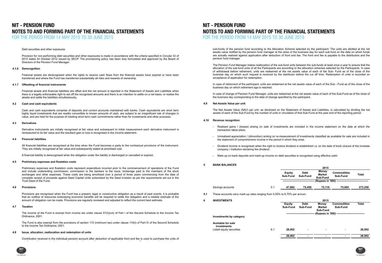### Debt securities and other exposures

### **4.1.6 Derecognition**

### **4.1.7 Offsetting of financial instruments**

### **4.2 Cash and cash equivalents**

### **4.3 Derivatives**

### **4.4 Financial liabilities**

### The Fund assesses at each reporting date whether there is objective evidence that the financial asset or a group of financial assets **NIT - PENSION FUND** is impaired. In case of equity securities classified as available-for-sale, a significant or prolonged decline in the fair value of the security below its cost is considered as an indicator that the securities are impaired. If any such evidence exists for available for NOTES TO AND FORMING PART OF THE FINANCIAL STATEMENTS FOR THE PERIOD FROM 14 MAY 2015 TO 30 JUNE 2015

A financial liability is derecognised when the obligation under the liability is discharged or cancelled or expired.

Derivative instruments are initially recognised at fair value and subsequent to initial measurement each derivative instrument is remeasured to its fair value and the resultant gain or loss is recognised in the income statement.

All financial liabilities are recognised at the time when the Fund becomes a party to the contractual provisions of the instrument. They are initially recognised at fair value and subsequently stated at amortised cost.

income to income statement. Impairment losses recognised on equity securities are not reversed through the income statement.

Provision for non-performing debt securities and other exposures is made in accordance with the criteria specified in Circular 33 of 2012 dated 24 October 2012 issued by SECP. The provisioning policy has been duly formulated and approved by the Board of Directors of the Pension Fund Manager.

Financial assets are derecognised when the rights to receive cash flows from the financial assets have expired or have been transferred and where the Fund has transferred substantially all risks and rewards of ownership.

Financial assets and financial liabilities are offset and the net amount is reported in the Statement of Assets and Liabilities when there is a legally enforceable right to set off the recognised amounts and there is an intention to settle on a net basis, or realise the assets and settle the liabilities simultaneously.

Cash and cash equivalents comprise of deposits and current accounts maintained with banks. Cash equivalents are short term highly liquid investments that are readily convertible to known amounts of cash, are subject to an insignificant risk of changes in value, and are held for the purpose of meeting short term cash commitments rather than for investments and other purposes.

#### **4.5 Preliminary expenses and floatation costs**

#### **4.6 Provisions**

#### **4.7 Taxation**

#### **4.8 Issue, allocation, reallocation and redemption of units**

The Fund is also exempt from the provisions of section 113 (minimum tax) under clause 11A(i) of Part IV of the Second Schedule to the Income Tax Ordinance, 2001.

Contribution received in the individual pension account after deduction of applicable front end fee is used to purchase the units of





Preliminary expenses and floatation costs represent expenditure incurred prior to the commencement of operations of the Fund and include underwriting commission, commission to the bankers to the issue, brokerage paid to the members of the stock exchanges and other expenses. These costs are being amortised over a period of three years commencing from the date of complete receipt of proceeds against Seed Capital Units subscribed by the Seed Investor as per the requirements set out in the Trust Deed of the Fund.

Provisions are recognised when the Fund has a present, legal or constructive obligation as a result of past events, it is probable that an outflow of resources embodying economic benefits will be required to settle the obligation and a reliable estimate of the amount of obligation can be made. Provisions are regularly reviewed and adjusted to reflect the current best estimate.

The income of the Fund is exempt from income tax under clause 57(3)(viii) of Part I of the Second Schedule to the Income Tax Ordinance, 2001.

### **4.9 Net Assets Value per unit**

The Net Assets Value (NAV) per unit, as disclosed on the Statement of Assets and Liabilities, is calculated by dividing the net assets of each of the Sub-Fund by the number of units in circulation of that Sub-Fund at the year end of the reporting period.

sub-funds of the pension fund according to the Allocation Scheme selected by the participant. The units are allotted at the net assets value notified by the pension fund manager at the close of the business day for each sub-fund on the date on which funds are actually realized against application after deduction of front end fee. The front end fee is payable to the distributors and the pension fund manager.

The Pension Fund Manager makes reallocation of the sub-fund units between the sub-funds at least once a year to ensure that the allocation of the sub-fund units of all the Participants are according to the allocation schemes selected by the Participants. In case of withdrawal before retirement, units are redeemed at the net assets value of each of the Sub- Fund as of the close of the business day on which such request is received by the distributor before the cut off time. Redemption of units is recorded on acceptance of application for redemption.

In case of retirement of the participant, units are redeemed at the net assets value of each of the Sub - Fund as of the close of the business day on which retirement age is reached.

In case of change of Pension Fund Manager, units are redeemed at the net assets value of each of the Sub-Fund as of the close of the business day corresponding to the date of change specified by the participant.

### **4.10 Revenue recognition**

### **4.8 Issue, allocation, reallocation and redemption of units** FOR THE PERIOD FROM 14 MAY 2015 TO 30 JUNE 2015TO AND EODMING DADT OF THE FINANCIAL CTATEMENTS to the Income Tax Ordinance, 2001. **NOTES TO AND FORMING PART OF THE FINANCIAL STATEMENTS** Ordinance, 2001. **NIT - PENSION FUND**

- Realised gains / (losses) arising on sale of investments are included in the income statement on the date at which the transaction takes place.
- Unrealised appreciation / (dimunition) arising on re-measurement of investments classified as available for sale are included in the statement of comprehensive income in the period in which they arise.
- Dividend income is recognised when the right to receive dividend is established i.e. on the date of book closure of the investee company / institution declaring the dividend.
- Mark-up on bank deposits and mark-up income on debt securities is recognised using effective yield.

### **5 BANK BALANCES**

- 
- **6 INVESTMENTS**

|     |                                                                           |     |                           |                          | 2015                                      |                                                                                    |              |
|-----|---------------------------------------------------------------------------|-----|---------------------------|--------------------------|-------------------------------------------|------------------------------------------------------------------------------------|--------------|
|     |                                                                           |     | <b>Equity</b><br>Sub-Fund | <b>Debt</b><br>Sub-Fund  | <b>Money</b><br><b>Market</b><br>Sub-Fund | <b>Commodities</b><br>Sub-Fund                                                     | <b>Total</b> |
|     |                                                                           |     |                           |                          |                                           | (Rupees in '000) ------------                                                      |              |
|     | Savings accounts                                                          | 5.1 | 47,682                    | 75,459                   | 75,110                                    | 75,005                                                                             | 273,256      |
| 5.1 | These accounts carry mark-up rates ranging from 5.00% to 6.70% per annum. |     |                           |                          |                                           |                                                                                    |              |
| 6   | <b>INVESTMENTS</b>                                                        |     |                           |                          | 2015                                      |                                                                                    |              |
|     |                                                                           |     | <b>Equity</b><br>Sub-Fund | <b>Debt</b><br>Sub-Fund  | <b>Money</b><br><b>Market</b><br>Sub-Fund | <b>Commodities</b><br>Sub-Fund<br>(Rupees in '000) ------------------------------- | <b>Total</b> |
|     | Investments by category                                                   |     |                           |                          |                                           |                                                                                    |              |
|     | Available for sale<br>investments                                         |     |                           |                          |                                           |                                                                                    |              |
|     | Listed equity securities                                                  | 6.1 | 28,002                    | $\overline{\phantom{a}}$ |                                           |                                                                                    | 28,002       |
|     |                                                                           |     | 28,002                    |                          |                                           |                                                                                    | 28,002       |
|     |                                                                           |     |                           |                          |                                           |                                                                                    |              |

|                                                                   |     |                           |                         | 2015                                      |                                                  |              |
|-------------------------------------------------------------------|-----|---------------------------|-------------------------|-------------------------------------------|--------------------------------------------------|--------------|
|                                                                   |     | <b>Equity</b><br>Sub-Fund | <b>Debt</b><br>Sub-Fund | <b>Money</b><br><b>Market</b><br>Sub-Fund | <b>Commodities</b><br>Sub-Fund                   | <b>Total</b> |
|                                                                   |     |                           |                         | (Rupees in '000) -                        |                                                  |              |
| ıccounts                                                          | 5.1 | 47,682                    | 75,459                  | 75,110                                    | 75,005                                           | 273,256      |
| counts carry mark-up rates ranging from 5.00% to 6.70% per annum. |     |                           |                         |                                           |                                                  |              |
| <b>IENTS</b>                                                      |     |                           |                         | 2015                                      |                                                  |              |
|                                                                   |     | <b>Equity</b><br>Sub-Fund | <b>Debt</b><br>Sub-Fund | <b>Money</b><br><b>Market</b><br>Sub-Fund | <b>Commodities</b><br>Sub-Fund                   | <b>Total</b> |
|                                                                   |     |                           |                         |                                           | (Rupees in '000) ------------------------------- |              |
| nts by category                                                   |     |                           |                         |                                           |                                                  |              |
| for sale<br>nents                                                 |     |                           |                         |                                           |                                                  |              |
| uity securities                                                   | 6.1 | 28,002                    |                         |                                           |                                                  | 28,002       |
|                                                                   |     | 28,002                    |                         |                                           |                                                  | 28,002       |
|                                                                   |     |                           |                         |                                           |                                                  |              |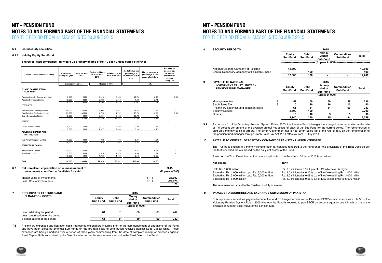### $NIT$  - **PENSION** FUND **Available for sale investments NOTES TO AND FORMING PART OF THE FINANCIAL STATEMENTS** FOR THE PERIOD FROM 14 MAY 2015 TO 30 JUNE 2015

### **6.1 Listed equity securities**

### **6.1.1 Held by Equity Sub-Fund**

### **Shares of listed companies - fully paid up ordinary shares of Rs. 10 each unless stated otherwise**

### Less: amortization for the period - - - - - Balance at end of the period **61 61 60 60 242 NIT - PENSION FUND** NOTES TO AND FORMING PART OF THE FINANCIAL STATEMENTS FOR THE PERIOD FROM 14 MAY 2015 TO 30 JUNE 2015

**7.1** Preliminary expenses and floatation costs represents expenditure incurred prior to the commencement of operations of the Fund and have been allocated amongst Sub-Funds on the pro-rata basis of contirbution received against Seed Capital Units. These expenses are being amortised over a period of three years commencing from the date of complete reciept of proceeds against Seed Capital Units subscribed by the Seed Investor as per the requirements set out in the Trust Deed of the Fund.

Incurred during the period and the period and the control of the control of the control of the control of the control of the control of the control of the control of the control of the control of the control of the control Less: amortization for the period<br>Balance at end of the period  $\frac{1}{61}$   $\frac{1}{61}$   $\frac{1}{60}$   $\frac{1}{60}$   $\frac{1}{60}$   $\frac{1}{242}$ 

| Name of the Investee Company                                                                       | <b>Purchases</b><br>during the year | As at 30 June<br>2015 | <b>Cost of holdings</b><br>as at 30 June<br>2015 | Market value as<br>at 30 June 2015 | Market value as a<br>percentage of<br>investment of sub-<br>fund | Market value as a<br>percentage of net<br>assets of sub-fund | Par value as<br>a percentage<br>of issued<br>capital of the<br>investee<br>company |
|----------------------------------------------------------------------------------------------------|-------------------------------------|-----------------------|--------------------------------------------------|------------------------------------|------------------------------------------------------------------|--------------------------------------------------------------|------------------------------------------------------------------------------------|
|                                                                                                    |                                     | (Number of shares)    |                                                  | (Rupees in '000)                   |                                                                  | $(%)$ --------                                               |                                                                                    |
| OIL AND GAS MARKETING<br><b>COMPANIES</b>                                                          |                                     |                       |                                                  |                                    |                                                                  |                                                              |                                                                                    |
| Pakistan State Oil Company Limited                                                                 | 16,500                              | 16.500                | 6,410                                            | 6,365                              | 22.74                                                            | 8.40                                                         | 0.01                                                                               |
| Pakistan Petroleum Limited                                                                         | 12,500                              | 12,500                | 2,088                                            | 2,053                              | 7.33                                                             | 2.71                                                         |                                                                                    |
|                                                                                                    | 29,000                              | 29.000                | 8.498                                            | 8.418                              | 30.07                                                            | 11.11                                                        |                                                                                    |
| <b>FERTILIZER</b>                                                                                  |                                     |                       |                                                  |                                    |                                                                  |                                                              |                                                                                    |
| Fauji Fertilizer Company Limited                                                                   | 40,000                              | 40,000                | 6,006                                            | 5,977                              | 21.34                                                            | 7.89                                                         |                                                                                    |
| Fauji Fertilizer Bin Qasim Limited                                                                 | 85,000                              | 85,000                | 4,720                                            | 4,702                              | 16.79                                                            | 6.20                                                         | 0.01                                                                               |
| <b>Engro Corporation Limited</b>                                                                   | 12,000                              | 12,000                | 3,554                                            | 3,562                              | 12.72                                                            | 4.70                                                         |                                                                                    |
|                                                                                                    | 137,000                             | 137,000               | 14,280                                           | 14,241                             | 50.85                                                            | 18.79                                                        |                                                                                    |
| <b>CEMENT</b>                                                                                      |                                     |                       |                                                  |                                    |                                                                  |                                                              |                                                                                    |
| Lucky Cement Limited                                                                               | 5,000                               | 5,000                 | 2,477                                            | 2,598                              | 9.28                                                             | 3.43                                                         |                                                                                    |
|                                                                                                    | 5,000                               | 5,000                 | 2,477                                            | 2,598                              | 9.28                                                             | 3.43                                                         |                                                                                    |
| <b>POWER GENERATION AND</b><br><b>DISTRIBUTION</b>                                                 |                                     |                       |                                                  |                                    |                                                                  |                                                              |                                                                                    |
| Hub Power Company Limited                                                                          | 10,000                              | 10,000                | 962                                              | 936                                | 3.34                                                             | 1.24                                                         |                                                                                    |
|                                                                                                    | 10.000                              | 10.000                | 962                                              | 936                                | 3.34                                                             | 1.24                                                         |                                                                                    |
| <b>COMMERCIAL BANKS</b>                                                                            |                                     |                       |                                                  |                                    |                                                                  |                                                              |                                                                                    |
| <b>Bank Al Habib Limited</b>                                                                       | 10,000                              | 10,000                | 441                                              | 439                                | 1.57                                                             | 0.58                                                         |                                                                                    |
| <b>MCB Bank Limited</b>                                                                            | 5,000                               | 5,000                 | 1,315                                            | 1,370                              | 4.89                                                             | 1.81                                                         |                                                                                    |
|                                                                                                    | 15,000                              | 15,000                | 1,756                                            | 1.809                              | 6.46                                                             | 2.39                                                         |                                                                                    |
| Total                                                                                              | 196,000                             | 196,000               | 27,973                                           | 28,002                             | 100.00                                                           | 36.96                                                        |                                                                                    |
| Net unrealised appreciation on re-measurement of<br>investments classified as 'available for sale' |                                     |                       |                                                  |                                    |                                                                  |                                                              | 2015<br>(Rupees in '000)                                                           |
| Market value of Investments<br>Less: Cost of investments                                           |                                     |                       |                                                  |                                    |                                                                  | 6.1.1<br>6.1.1                                               | 28,002<br>(27, 973)<br>29                                                          |
| <b>PRELIMINARY EXPENSES AND</b>                                                                    |                                     |                       |                                                  |                                    | 2015                                                             |                                                              |                                                                                    |
| <b>FLOATATION COSTS</b>                                                                            |                                     |                       | <b>Equity</b><br>Sub-Fund                        | <b>Debt</b><br>Sub-Fund            | <b>Money</b><br><b>Market</b><br>Sub-Fund                        | <b>Commodities</b><br>Sub-Fund                               | <b>Total</b>                                                                       |
|                                                                                                    |                                     |                       |                                                  |                                    | (Rupees in 000) --------                                         |                                                              |                                                                                    |

**8 SECURITY DEPOSITS**

**9.1**

The remuneration is paid to the Trustee monthly in arrears.

| 8   | <b>SECURITY DEPOSITS</b>                                                                                                                                                                                                                                                                                                                                                                                                                                                                   |                                                                                                        | 2015                      |                         |                                                          |                                           |               |  |  |  |
|-----|--------------------------------------------------------------------------------------------------------------------------------------------------------------------------------------------------------------------------------------------------------------------------------------------------------------------------------------------------------------------------------------------------------------------------------------------------------------------------------------------|--------------------------------------------------------------------------------------------------------|---------------------------|-------------------------|----------------------------------------------------------|-------------------------------------------|---------------|--|--|--|
|     |                                                                                                                                                                                                                                                                                                                                                                                                                                                                                            |                                                                                                        | <b>Equity</b><br>Sub-Fund | <b>Debt</b><br>Sub-Fund | <b>Money</b><br><b>Market</b><br>Sub-Fund                | <b>Commodities</b><br>Sub-Fund            | <b>Total</b>  |  |  |  |
|     |                                                                                                                                                                                                                                                                                                                                                                                                                                                                                            |                                                                                                        |                           |                         |                                                          | (Rupees in 000) --------------------      |               |  |  |  |
|     | National Clearing Company of Pakistan<br>Central Depository Company of Pakistan Limited                                                                                                                                                                                                                                                                                                                                                                                                    |                                                                                                        | 12,600                    | 100                     |                                                          |                                           | 12,600<br>100 |  |  |  |
|     |                                                                                                                                                                                                                                                                                                                                                                                                                                                                                            |                                                                                                        | 12,600                    | 100                     |                                                          |                                           | 12,700        |  |  |  |
| 9   | <b>PAYABLE TO NATIONAL</b>                                                                                                                                                                                                                                                                                                                                                                                                                                                                 |                                                                                                        |                           |                         | 2015                                                     |                                           |               |  |  |  |
|     | <b>INVESTMENT TRUST LIMITED -</b><br><b>PENSION FUND MANAGER</b>                                                                                                                                                                                                                                                                                                                                                                                                                           |                                                                                                        | <b>Equity</b><br>Sub-Fund | <b>Debt</b><br>Sub-Fund | <b>Money</b><br><b>Market</b><br>Sub-Fund                | <b>Commodities</b><br>Sub-Fund            | <b>Total</b>  |  |  |  |
|     |                                                                                                                                                                                                                                                                                                                                                                                                                                                                                            |                                                                                                        |                           |                         |                                                          | (Rupees in 000) ------------------------- |               |  |  |  |
|     | Management fee<br>Sindh Sales Tax                                                                                                                                                                                                                                                                                                                                                                                                                                                          | 9.1<br>9.1                                                                                             | 59<br>10                  | 59<br>10                | 59<br>10                                                 | 59<br>10                                  | 236<br>40     |  |  |  |
|     | Preliminary expenses and floatation costs                                                                                                                                                                                                                                                                                                                                                                                                                                                  |                                                                                                        | 61                        | 61                      | 61                                                       | 60                                        | 243           |  |  |  |
|     | <b>Security Deposit</b><br>Others                                                                                                                                                                                                                                                                                                                                                                                                                                                          |                                                                                                        | 2,600                     | 100                     |                                                          |                                           | 2,700         |  |  |  |
|     |                                                                                                                                                                                                                                                                                                                                                                                                                                                                                            |                                                                                                        | 10<br>2,740               | 10<br>240               | 5<br>135                                                 | 5<br>134                                  | 30<br>3,249   |  |  |  |
| 9.1 | As per rule 11 of the Voluntary Pension System Rules, 2005, the Pension Fund Manager has charged its remuneration at the rate<br>of 1.5 percent per annum of the average annual net assets of each of the Sub-Fund for the current period. The remuneration is<br>paid on a monthly basis in arrears. The Sindh Government has levied Sindh Sales Tax at the rate of 15% on the remuneration of<br>the pension fund manager through Sindh Sales Tax Act, 2011 effective from 01 July 2014. |                                                                                                        |                           |                         |                                                          |                                           |               |  |  |  |
| 10  | <b>PAYABLE TO CENTRAL DEPOSITORY COMPANY OF PAKISTAN LIMITED - TRUSTEE</b>                                                                                                                                                                                                                                                                                                                                                                                                                 |                                                                                                        |                           |                         |                                                          |                                           |               |  |  |  |
|     | The Trustee is entitled to a monthly remuneration for services rendered to the Fund under the provisions of the Trust Deed as per<br>the tariff specified therein, based on the daily net assets of the Fund.                                                                                                                                                                                                                                                                              |                                                                                                        |                           |                         |                                                          |                                           |               |  |  |  |
|     |                                                                                                                                                                                                                                                                                                                                                                                                                                                                                            | Based on the Trust Deed, the tariff structure applicable to the Fund as at 30 June 2015 is as follows: |                           |                         |                                                          |                                           |               |  |  |  |
|     | <b>Net assets</b>                                                                                                                                                                                                                                                                                                                                                                                                                                                                          |                                                                                                        | <b>Tariff</b>             |                         |                                                          |                                           |               |  |  |  |
|     | Upto Rs. 1,000 million                                                                                                                                                                                                                                                                                                                                                                                                                                                                     |                                                                                                        |                           |                         | Rs. 0.3 million or 0.15% p.a of NAV, whichever is higher |                                           |               |  |  |  |

| _ _ _ _ _ _ _ _ _ _ _ _ _ _ _ _ _ _                |             |
|----------------------------------------------------|-------------|
| Exceeding Rs. 1,000 million upto Rs. 3,000 million | Rs. 1.5 mil |
| Exceeding Rs. 3,000 million upto Rs. 6,000 million | Rs. 3.5 mil |
| Exceeding Rs. 6,000 million                        | Rs. 5.9 mil |
|                                                    |             |

### **11 PAYABLE TO SECURITIES AND EXCHANGE COMMISSION OF PAKISTAN**



This represents annual fee payable to Securities and Exchange Commission of Pakistan (SECP) in accordance with rule 36 of the Voluntary Pension System Rules, 2005 whereby the Fund is required to pay SECP an amount equal to one thirtieth of 1% of the average annual net asset value of the pension fund.

Balance at end of the period

- 
- Illion plus 0.10% p.a of NAV exceeding Rs. 1,000 million
- Illion plus 0.08% p.a of NAV exceeding Rs. 3,000 million
- Illion plus 0.06% p.a of NAV exceeding Rs. 6,000 million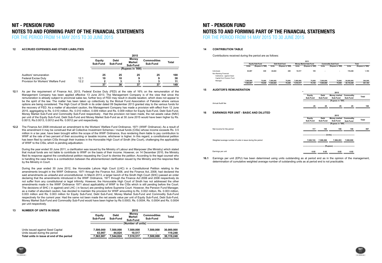### **12 ACCRUED EXPENSES AND OTHER LIABILITIES**

### **13 NUMBER OF UNITS IN ISSUE**

During the year ended 30 June 2011, a clarification was issued by the Ministry of Labour and Manpower (the Ministry) which stated that mutual funds are not liable to contribute to WWF on the basis of their income. However, on 14 December 2010, the Ministry filed its response against the constitutional petition requesting the Court to dismiss the petition. According to the legal counsel who is handling the case there is a contradiction between the aforementioned clarification issued by the Ministry and the response filed by the Ministry in Court.

During the year ended 30 June 2012, the Honorable Lahore High Court (LHC) in a Constitutional Petition relating to the amendments brought in the WWF Ordinance, 1971 through the Finance Act, 2006, and the Finance Act, 2008, had declared the said amendments as unlawful and unconstitutional. In March 2013, a larger bench of the Sindh High Court (SHC) passed an order declaring that the amendments introduced in the WWF Ordinance, 1971 through the Finance Act 2006 and 2008 respectively do not suffer from any constitutional or legal infirmity. However, the Honourable High Court of Sindh has not addressed the other amendments made in the WWF Ordinance 1971 about applicability of WWF to the CISs which is still pending before the Court. The decisions of SHC ( in against) and LHC ( in favour) are pending before Supreme Court. However, the Pension Fund Manager, as a matter of abundant caution, has decided to maintain the provision for WWF amounting to Rs. 0.002 million, Rs. 0.003 million, 0.003 million and Rs. 0.003 million for Equity Sub-Fund, Debt Sub-Fund, Money Market Sub-Fund and Commodity Sub-Fund respectively for the current year. Had the same not been made the net assets value per unit of Equity Sub-Fund, Debt Sub-Fund, Money Market Sub-Fund and Commodity Sub-Fund would have been higher by Rs 0.0003, Rs. 0.0004, Rs. 0.0004 and Rs. 0.0004 per unit respectively.

|                                     |      |                           |                         | 2015                               |                                |              |
|-------------------------------------|------|---------------------------|-------------------------|------------------------------------|--------------------------------|--------------|
|                                     |      | <b>Equity</b><br>Sub-Fund | <b>Debt</b><br>Sub-Fund | Money<br><b>Market</b><br>Sub-Fund | <b>Commodities</b><br>Sub-Fund | <b>Total</b> |
|                                     |      |                           |                         | (Rupees in '000)                   |                                |              |
| Auditors' remuneration              |      | 25                        | 25                      | 25                                 | 25                             | 100          |
| Federal Excise Duty                 | 12.1 | 10                        | 10                      |                                    |                                | 38           |
| Provision for Workers' Welfare Fund | 12.2 |                           |                         |                                    |                                | 11           |
|                                     |      | 37                        | 38                      | 37                                 | 37                             | 149          |

|                                           |                    |                         | 20 I V                             |                                |              |
|-------------------------------------------|--------------------|-------------------------|------------------------------------|--------------------------------|--------------|
|                                           | Equity<br>Sub-Fund | <b>Debt</b><br>Sub-Fund | Money<br><b>Market</b><br>Sub-Fund | <b>Commodities</b><br>Sub-Fund | <b>Total</b> |
|                                           |                    |                         | (Number of units) ------           |                                |              |
| Units issued against Seed Capital         | 7,500,000          | 7,500,000               | 7,500,000                          | 7.500.000                      | 30,000,000   |
| Units issued during the period            | 63.907             | 44.824                  | 10.517                             |                                | 119.248      |
| Total units in issue at end of the period | 7,563,907          | 544.824                 | 7,510,517                          | 7.500.000                      | 30,119,248   |
|                                           |                    |                         |                                    |                                |              |

# **11 PAYABLE TO SECURITIES AND EXCHANGE COMMISSION OF PAKISTAN NOTES TO AND FORMING PART OF THE FINANCIAL STATEMENTS NIT - PENSION FUND**

THE PERIOD FROM 14 MAY 2015 TO 30 JUNE 2015 and Exchange Commission of Pakistan (SECP) in accordance with rule FOR THE PERIOD FROM 14 MAY 2015 TO 30 JUNE 2015

- **12.1** As per the requirement of Finance Act, 2013, Federal Excise Duty (FED) at the rate of 16% on the remuneration of the Management Company has been applied effective 13 June 2013. The Management Company is of the view that since the remuneration is already subject to provincial sales tax, further levy of FED may result in double taxation, which does not appear to be the spirit of the law. The matter has been taken up collectively by the Mutual Fund Association of Pakistan where various options are being considered. The High Court of Sindh in its order dated 09 September 2013 granted stay to the various funds for the recovery of FED. As a matter of abundant caution, the Management Company has made a provision with effect from 12 June 2015, aggregating to Rs. 0.010 million, Rs. 0.010 million, 0.009 million and Rs. 0.009 million for Equity Sub-Fund, Debt Sub-Fund, Money Market Sub-Fund and Commodity Sub-Fund respectively . Had the provision not been made, the net assets value (NAV) per unit of the Equity Sub-Fund, Debt Sub-Fund and Money Market Sub-Fund as at 30 June 2015 would have been higher by Rs. 0.0013, Rs.0.0013, 0.0012 and Rs. 0.0012 per unit respectively.
- **12.2** The Finance Act 2008 introduced an amendment to the Workers' Welfare Fund Ordinance, 1971 (WWF Ordinance). As a result of this amendment it may be construed that all Collective Investment Schemes / mutual funds (CISs) whose income exceeds Rs. 0.5 million in a tax year, have been brought within the scope of the WWF Ordinance, thus rendering them liable to pay contribution to WWF at the rate of two percent of their accounting or taxable income, whichever is higher. In this regard, a constitutional petition has been filed by certain CISs through their trustees in the Honorable High Court of Sindh (the Court), challenging the applicability of WWF to the CISs, which is pending adjudication.

**2015**

### **14 CONTRIBUTION TABLE**

Contributions received during the period are as follows:

### **15 AUDITOR'S REMUNERATION**

### **16 EARNINGS PER UNIT - BASIC AND DILUTED**

|                                                                                                  |           |                        |              |                  |              | 2015                         |              |                                          |              |                  |
|--------------------------------------------------------------------------------------------------|-----------|------------------------|--------------|------------------|--------------|------------------------------|--------------|------------------------------------------|--------------|------------------|
|                                                                                                  |           | <b>Equity Sub-Fund</b> |              | Debt Sub-Fund    |              | <b>Money Market Sub-Fund</b> |              | <b>Commodity Sub-Fund</b>                |              | <b>Total</b>     |
|                                                                                                  | Units     | (Rupees in '000)       | <b>Units</b> | (Rupees in '000) | <b>Units</b> | (Rupees in '000)             | <b>Units</b> | (Rupees in '000)                         | <b>Units</b> | (Rupees in '000) |
| Individuals<br>Non-Banking Financial<br>Institutions - against Seed<br>Capital from Pension Fund | 63,907    | 639                    | 44,824       | 449              | 10,517       | 105                          |              |                                          | 119,248      | 1,193            |
| Manager                                                                                          | 7,500,000 | 75,000                 | 7,500,000    | 75,000           | 7,500,000    | 75,000                       | 7,500,000    | 75,000                                   | 30,000,000   | 300,000          |
|                                                                                                  | 7,563,907 | 75,639                 | 7,544,824    | 75,449           | 7,510,517    | 75,105                       | 7,500,000    | 75,000                                   | 30,119,248   | 301,193          |
| <b>AUDITOR'S REMUNERATION</b>                                                                    |           |                        |              |                  |              |                              |              |                                          |              |                  |
|                                                                                                  |           |                        |              |                  |              |                              |              | 2015                                     |              |                  |
|                                                                                                  |           |                        |              |                  |              | Equity                       | <b>Debt</b>  | Money market Commodity                   |              | <b>Total</b>     |
|                                                                                                  |           |                        |              |                  |              | Sub-Fund                     | Sub-Fund     | Sub-Fund                                 | Sub-Fund     |                  |
| Annual Audit fee                                                                                 |           |                        |              |                  |              |                              |              | (Rupees in '000) ----------------------- |              |                  |
|                                                                                                  |           |                        |              |                  |              | 25                           | 25           | 25                                       | 25           | 100              |
| <b>EARNINGS PER UNIT - BASIC AND DILUTED</b>                                                     |           |                        |              |                  |              |                              |              |                                          |              |                  |
|                                                                                                  |           |                        |              |                  |              |                              |              | 2015                                     |              |                  |
|                                                                                                  |           |                        |              |                  |              | Equity                       | <b>Debt</b>  | <b>Money market</b>                      | Commodity    | <b>Total</b>     |
|                                                                                                  |           |                        |              |                  |              | Sub-Fund                     | Sub-Fund     | Sub-Fund                                 | Sub-Fund     |                  |
|                                                                                                  |           |                        |              |                  |              |                              |              | (Rupees in '000) ----------------------- |              |                  |
| Net income for the period                                                                        |           |                        |              |                  |              | 117                          | 150          | 150                                      | 150          | 567              |
|                                                                                                  |           |                        |              |                  |              |                              |              | - (Units) -                              |              |                  |
| Weighted average number of units in issue during the period                                      |           |                        |              |                  |              | 7,520,743                    | 7,508,266    | 7,506,293                                | 7,500,000    |                  |
|                                                                                                  |           |                        |              |                  |              |                              |              | - (Rupees) ----------------              |              |                  |
| Earnings per unit                                                                                |           |                        |              |                  |              | 0.02                         | 0.02         | 0.02                                     | 0.02         |                  |
|                                                                                                  |           |                        |              |                  |              |                              |              |                                          |              |                  |

**16.1** Earnings per unit (EPU) has been determined using units outstanding as at period end as in the opinion of the management, determination of cumulative weighted average number of outstanding units as at period end is not practicable.



# **NIT - PENSION FUND NOTES TO AND FORMING PART OF THE FINANCIAL STATEMENTS** FOR THE PERIOD FROM 14 MAY 2015 TO 30 JUNE 2015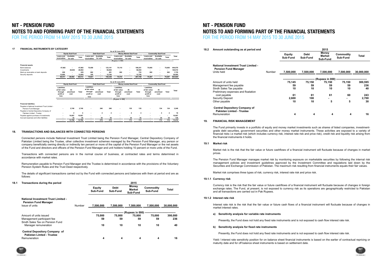#### **17 FINANCIAL INSTRUMENTS BY CATEGORY**

|                                                                        |                                                              |                         |              |                                                                     |                         |              | As at 30 June 2015                                           |                         |              |                                                                     |                           |              |              |
|------------------------------------------------------------------------|--------------------------------------------------------------|-------------------------|--------------|---------------------------------------------------------------------|-------------------------|--------------|--------------------------------------------------------------|-------------------------|--------------|---------------------------------------------------------------------|---------------------------|--------------|--------------|
|                                                                        |                                                              | <b>Equity Sub-Fund</b>  |              |                                                                     | <b>Debt Sub-Fund</b>    |              |                                                              | Money Market Sub-Fund   |              |                                                                     | <b>Commodity Sub-Fund</b> |              |              |
|                                                                        | Loans and<br>receivables                                     | Available<br>for sale   | Total        | Loans and<br>receivables                                            | Available<br>for sale   | Total        | Loans and<br>receivables                                     | Available<br>for sale   | Total        | Loans and<br>receivables                                            | Available<br>for sale     | <b>Total</b> | <b>Total</b> |
|                                                                        |                                                              |                         |              |                                                                     |                         |              | (Rupees in 000)                                              |                         |              |                                                                     |                           |              |              |
| <b>Financial assets</b>                                                |                                                              |                         |              |                                                                     |                         |              |                                                              |                         |              |                                                                     |                           |              |              |
| <b>Bank balances</b>                                                   | 47,682                                                       | ٠                       | 47,682       | 75,459                                                              | $\sim$                  | 123,141      | 75,110                                                       | ٠                       | 198,251      | 75,005                                                              | $\overline{\phantom{a}}$  | 75,005       | 444,079      |
| Investments                                                            | ٠                                                            | 28,002                  | 28,002       | $\overline{\phantom{a}}$                                            |                         | 56.004       |                                                              |                         | 56.004       |                                                                     |                           | ٠            | 140.010      |
| Mark-up receivable on bank deposits                                    | 229                                                          |                         | 229          | 262                                                                 |                         | 491          | 262                                                          |                         | 753          | 262                                                                 |                           | 262          | 1,735        |
| Security deposits                                                      | 12,600                                                       | ٠                       | 12,600       | 100                                                                 |                         | 12,700       | ٠                                                            |                         | 12,700       | $\blacksquare$                                                      |                           |              | 38,000       |
|                                                                        | 60,511                                                       | 28,002                  | 88,513       | 75.821                                                              |                         | 192,336      | 75,372                                                       |                         | 267,708      | 75,267                                                              |                           | 75,267       | 623,824      |
|                                                                        |                                                              |                         |              |                                                                     |                         |              | As at 30 June 2015                                           |                         |              |                                                                     |                           |              |              |
|                                                                        |                                                              | <b>Equity Sub-Fund</b>  |              |                                                                     | <b>Debt Sub-Fund</b>    |              |                                                              | Money market Sub-Fund   |              |                                                                     | <b>Commodity Sub-Fund</b> |              |              |
|                                                                        | Liabilities<br>at fair value<br>through<br>profit or<br>loss | At<br>amortised<br>cost | <b>Total</b> | <b>Liabilities</b><br>at fair value<br>through<br>profit or<br>loss | At<br>amortised<br>cost | <b>Total</b> | Liabilities<br>at fair value<br>through<br>profit or<br>loss | At<br>amortised<br>cost | <b>Total</b> | <b>Liabilities</b><br>at fair value<br>through<br>profit or<br>loss | At<br>amortised<br>cost   | <b>Total</b> | Total        |
|                                                                        |                                                              |                         |              |                                                                     |                         |              | (Rupees in 000) -----                                        |                         |              |                                                                     |                           |              |              |
| <b>Financial liabilities</b>                                           |                                                              |                         |              |                                                                     |                         |              |                                                              |                         |              |                                                                     |                           |              |              |
| Payable to National Investment Trust Limited -<br>Penison Fund Manager |                                                              | 2,740                   | 2.740        |                                                                     | 240                     | 240          | ٠                                                            | 135                     | 135          |                                                                     | 134                       | 134          | 3,249        |
| Payable to Central Depository Company of                               |                                                              |                         | 4            |                                                                     | 4                       | 4            |                                                              |                         |              |                                                                     |                           |              | 16           |
| Pakistan Limited - Trustee                                             |                                                              | 4                       |              |                                                                     |                         |              |                                                              | $\overline{4}$          | 4            |                                                                     | 4                         |              |              |
| Payable against purchase of investments                                |                                                              | 10,007                  | 10,007       |                                                                     |                         |              |                                                              |                         |              |                                                                     |                           |              | 10,007       |
| Accrued expenses and other liabilities                                 |                                                              | 35                      | 35           |                                                                     | 35<br>279               | 35<br>279    | ٠                                                            | 34                      | 34<br>173    | ٠                                                                   | 34<br>172                 | 34<br>172    | 138          |
|                                                                        |                                                              | 12,786                  | 12.786       |                                                                     |                         |              |                                                              | 173                     |              |                                                                     |                           |              | 13,410       |

### **18. TRANSACTIONS AND BALANCES WITH CONNECTED PERSONS**

### **18.1 Transactions during the period**

| <b>Hansacuons during the period</b>                                       |        |                           |                         | 20 I V                             |                                       |              |
|---------------------------------------------------------------------------|--------|---------------------------|-------------------------|------------------------------------|---------------------------------------|--------------|
|                                                                           |        | <b>Equity</b><br>Sub-Fund | <b>Debt</b><br>Sub-Fund | Money<br><b>Market</b><br>Sub-Fund | Commodity<br>Sub-Fund                 | <b>Total</b> |
| <b>National Investment Trust Limited -</b><br><b>Pension Fund Manager</b> |        |                           |                         |                                    |                                       |              |
| Issue of units                                                            | Number | 7,500,000                 | 7,500,000               | 7,500,000                          | 7,500,000                             | 30,000,000   |
|                                                                           |        |                           |                         |                                    | (Rupees in 000) --------------------- |              |
| Amount of units issued                                                    |        | 75,000                    | 75,000                  | 75,000                             | 75.000                                | 300,000      |
| Management participant fee                                                |        | 59                        | 59                      | 59                                 | 59                                    | 236          |
| Sindh Sales Tax on Pension Fund<br>Manager remuneration                   |        | 10                        | 10                      | 10                                 | 10                                    | 40           |
| <b>Central Depository Company of</b><br>Pakistan Limted - Trustee         |        |                           |                         |                                    |                                       |              |
| Remuneration                                                              |        | 4                         | 4                       | 4                                  | 4                                     | 16           |

Connected persons include National Investment Trust Limited being the Pension Fund Manager, Central Depository Company of Pakistan Limited being the Trustee, other collective investment schemes managed by the Pension Fund Manager, any person or company beneficially owning directly or indirectly ten percent or more of the capital of the Pension Fund Manager or the net assets of the Fund and directors and officers of the Pension Fund Manager and unit holders holding 10 percent or more units of the Fund.

Transactions with connected persons are in the normal course of business, at contracted rates and terms determined in accordance with market rates.

Remuneration payable to Pension Fund Manager and the Trustee is determined in accordance with the provisions of the Voluntary Pension System Rules and the Trust Deed respectively.

The details of significant transactions carried out by the Fund with connected persons and balances with them at period end are as follows:

**2015**

## **NIT - PENSION FUND NOTES TO AND FORMING PART OF THE FINANCIAL STATEMENTS** FOR THE PERIOD FROM 14 MAY 2015 TO 30 JUNE 2015

Yield / interest rate sensitivity position for on balance sheet financial instruments is based on the earlier of contractual repricing or maturity date and for off balance sheet instruments is based on settlement date.



### **18.2 Amount outstanding as at period end**

| Amount outstanding as at period end                                                     |        |                           |                         | 2015                                      |                                                |            |
|-----------------------------------------------------------------------------------------|--------|---------------------------|-------------------------|-------------------------------------------|------------------------------------------------|------------|
|                                                                                         |        | <b>Equity</b><br>Sub-Fund | <b>Debt</b><br>Sub-Fund | <b>Money</b><br><b>Market</b><br>Sub-Fund | Commodity<br>Sub-Fund                          | Total      |
| <b>National Investment Trust Limited -</b><br><b>Pension Fund Manager</b><br>Units held | Number | 7,500,000                 | 7,500,000               | 7,500,000                                 | 7,500,000                                      | 30,000,000 |
|                                                                                         |        |                           |                         |                                           |                                                |            |
|                                                                                         |        |                           |                         |                                           | (Rupees in 000) ------------------------------ |            |
| Amount of units held                                                                    |        | 75,145                    | 75,150                  | 75,150                                    | 75,150                                         | 300,595    |
| Management fee payable                                                                  |        | 59                        | 59                      | 59                                        | 59                                             | 236        |
| Sindh Sales Tax payable                                                                 |        | 10                        | 10                      | 10                                        | 10                                             | 40         |
| Preliminary expenses and floatation                                                     |        |                           |                         |                                           |                                                |            |
| cost payable                                                                            |        | 61                        | 61                      | 61                                        | 60                                             | 243        |
| Security Deposit                                                                        |        | 2,600                     | 100                     |                                           |                                                | 2,700      |
| Other payable                                                                           |        | 10                        | 10                      | 5                                         | 5                                              | 30         |
| <b>Central Depository Company of</b><br><b>Pakistan Limted - Trustee</b>                |        | 4                         | 4                       | 4                                         | 4                                              | 16         |
| Remuneration                                                                            |        |                           |                         |                                           |                                                |            |

### **19. FINANCIAL RISK MANAGEMENT**

### **19.1 Market risk**

Market risk comprises three types of risk; currency risk, interest rate risk and price risk.

### Management participant fee **59 59 59 59 236** Sindh Sales Tax on Pension Fund **NIT - PENSION FUND** Manager remuneration **10 10 10 10 40 NOTES TO AND FORMING PART OF THE FINANCIAL STATEMENTS Central Depository Company of** FOR THE PERIOD FROM 14 MAY 2015 TO 30 JUNE 2015

#### **19.1.1 Currency risk**

### **19.1.2 Interest rate risk**

### **a) Sensitivity analysis for variable rate instruments**

Presently, the Fund does not hold any fixed rate instruments and is not exposed to cash flow interest rate risk.

#### **b) Sensitivity analysis for fixed rate instruments**

Presently, the Fund does not hold any fixed rate instruments and is not exposed to cash flow interest rate risk.

The Fund primarily invests in a portfolio of equity and money market investments such as shares of listed companies, investmentgrade debt securities, government securities and other money market instruments. These activities are exposed to a variety of financial risks i.e market risk (which includes currency risk, interest rate risk and price risk), credit risk and liquidity risk arising from the financial instruments it holds.

Market risk is the risk that the fair value or future cashflows of a financial instrument will fluctuate because of changes in market prices.

The Pension Fund Manager manages market risk by monitoring exposure on marketable securities by following the internal risk management policies and investment guidelines approved by the Investment Committee and regulations laid down by the Securities and Exchange Commission of Pakistan. The maximum risk resulting from financial instruments equals their fair values.

Currency risk is the risk that the fair value or future cashflows of a financial instrument will fluctuate because of changes in foreign exchange rates. The Fund, at present, is not exposed to currency risk as its operations are geographically restricted to Pakistan and all transactions are carried out in Pak Rupees.

Interest rate risk is the risk that the fair value or future cash flows of a financial instrument will fluctuate because of changes in market interest rates.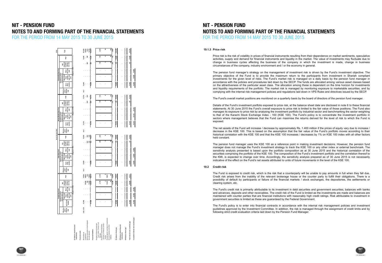$\begin{array}{r} 73,256 \\ 28,002 \\ 1,015 \\ 12,700 \\ \hline 14,973 \end{array}$ and the color of the color of the color of the color of the color of the color of the color of the color of the color of the color of the color of the color of the color of the color of the color of the color of the color Investments **- - - 28,002 28,002 - - - - - - - - - - - - - - - 28,002** Mark-up receivable on bank deposits **- - - 229 229 - - - 262 262 - - - 262 262 - - - 262 262 1,015** Security deposits **- - - 12,600 12,600 - - - 100 100 - - - - - - - - - - 12,700** 17,682 19,831 19,831 19,831 19,821 19,822 19,822 19,822 19,822 19,823 19,823 19,832 19,833 19,833 19,833 19,83 Manager **- - - 2,740 2,740 - - - 240 240 - - - 135 135 - - - 134 134 3,249** Trustee **- - - 4 4 - - - 4 4 - - - 4 4 - - - 4 4 16** liabilities **- - - 35 35 - - - 35 35 - - - 34 34 - - - 34 34 138 - - 12,786 12,786 - - - 279 279 - - - 173 173 - - - 172 172 3,403 On-balance sheet gap 47,682 - - 28,045 75,727 75,459 - - 83 75,542 75,110 - - 89 75,199 75,005 - - 90 75,095 311,570 Total interest rate sensitivity gap 47,682 - - 28,045 75,727 75,459 - - 83 75,542 75,110 - - 89 75,199 75,005 - - 90 75,095 311,570 Total 2015 instruments - - - - - - - - - - - - - - - - - - - - - Off-balance sheet gap - - - - - - - - - - - - - - - - - - - - - ------------------------------ (Rupees in 000) ------------------------------** 5,005<br>262 **E Total Total Total Not exposed to yield / interest rate risk**   $\cdot$   $\cdot$   $\frac{8}{2}$ **Equity Sub-Fund Debt Sub-Fund Commodity Sub-Fund than one**   $\alpha$  ,  $\alpha$ **Cumulative interest rate sensitivity gap 47,682 47,682 47,682 75,459 75,459 75,459 75,110 75,110 75,110 75,005 75,005 75,005 More year Exposed to yield / interest rate risk More than upto one**   $\sim 100$ **months three year**  $\frac{6}{5}$  . **Up to three months Effective yield / Interest rate**  $-6.7$ **------------------------------ (Rupees in 000) ------------------------------**  $-5,110$ <br>262 ā  **Not exposed to yield / interest rate risk**   $\ddotsc$ **than one Money Market Sub-Fund**  $\sim 100$  km s  $^{-1}$ **More year Exposed to yield / interest rate risk More than upto one Service months three year** 75,110 **Up to three months Effective yield / interest rate**  $5-6.7$ **As at 30 June 2015 ------------------------------ (Rupees in 000) ------------------------------**  $\frac{36}{16}$  ,  $\frac{26}{16}$  ,  $\frac{5}{16}$ **Foto**  $. 889$ **Not exposed to yield / interest rate risk than one**   $\sim 100$  km s  $^{-1}$ **More year Exposed to yield / interest rate risk More than three months upto one year**  $\sim 100$ 75,459 **Up to three months Effective yield / Interest rate**  $-6.7$ **------------------------------ (Rupees in 000) ------------------------------** Payable against purchase of investments **10,007 10,007 Total** ូខ្លួន<br>ខ្លួនខ្លួ<mark>ន</mark> **Not exposed to yield / interest rate risk than one More**   $\sim 100$ **year Exposed to yield / interest rate risk More than upto one**   $\sim 100$ **months three year Up to three**  47,682 **months Effective Interest yield / rate** Trust Limited - Penison Fund Company of Pakistan Limited - Payable to National Investment Payable to Central Depository Accrued expenses and other **On-balance sheet financial Off-balance sheet financial Financial liabilities Financial assets instruments**

### **NIT - PENSION FUND NOTES TO AND FORMING PART OF THE FINANCIAL STATEMENTS** FOR THE PERIOD FROM 14 MAY 2015 TO 30 JUNE 2015

**19.1.3 Price risk**

The Fund's overall market positions are monitored on a quarterly basis by the board of directors of the pension fund manager.

### **19.2 Credit risk**

The pension fund manager uses the KSE 100 as a reference point in making investment decisions. However, the pension fund manager does not manage the Fund's investment strategy to track the KSE 100 or any other index or external benchmark. The sensitivity analysis presented is based upon the portfolio composition as at 30 June 2015 and the historical correlation of the securities comprising the portfolio of the KSE 100. The composition of the Fund's investment portfolio and the correlation thereof to the KMI, is expected to change over time. Accordingly, the sensitivity analysis prepared as of 30 June 2015 is not necessarily indicative of the effect on the Fund's net assets attributed to units of future movements in the level of the KSE 100.

The net assets of the Fund will increase / decrease by approximately Rs. 1.400 million if the prices of equity vary due to increase / decrease in the KSE 100. This is based on the assumption that the fair value of the Fund's portfolio moves according to their historical correlation with the KSE 100 and that the KSE 100 increases / decreases by 1% on KSE 100 index with all other factors held constant.

The Fund is exposed to credit risk, which is the risk that a counterparty will be unable to pay amounts in full when they fall due. Credit risk arises from the inability of the relevant brokerage house or the counter party to fulfill their obligations. There is a possibility of default by participants or failure of the financial markets / stock exchanges, the depositories, the settlements or clearing system, etc.

The Fund's credit risk is primarily attributable to its investment in debt securities and government securities, balances with banks and advances, deposits and other receivables. The credit risk of the Fund is limited as the investments are made and balances are maintained with counter parties that are financial institutions with reasonably high credit ratings. Risk attributable to investment in government securities is limited as these are guaranteed by the Federal Government.

The Fund's policy is to enter into financial contracts in accordance with the internal risk management policies and investment guidelines approved by the Investment Committee. In addition, the risk is managed through the assignment of credit limits and by following strict credit evaluation criteria laid down by the Pension Fund Manager.





Price risk is the risk of volatility in prices of financial instruments resulting from their dependence on market sentiments, speculative activities, supply and demand for financial instruments and liquidity in the market. The value of investments may fluctuate due to change in business cycles affecting the business of the company in which the investment is made, change in business circumstances of the company, industry environment and / or the economy in general.

The pension fund manager's strategy on the management of investment risk is driven by the Fund's investment objective. The primary objective of the Fund is to provide the maximum return to the participants from investment in Shariah compliant investments for the given level of risks. The Fund's market risk is managed on a daily basis by the pension fund manager in accordance with the policies and procedures laid down by the SECP. The funds are allocated among various asset classes based on the attractiveness of the particular asset class. The allocation among these is dependent on the time horizon for investments and liquidity requirements of the portfolio. The market risk is managed by monitoring exposure to marketable securities, and by complying with the internal risk management policies and regulations laid down in VPS Rules and directives issued by the SECP.

Details of the Fund's investment portfolio exposed to price risk, at the balance sheet date are disclosed in note 6 to these financial statements. At 30 June 2015 the Fund's overall exposure to price risk is limited to the fair value of those positions. The Fund also manages its exposure to price risk by analysing the investment portfolio by industrial sector and benchmarking the sector weighting to that of the Karachi Stock Exchange Index - 100 (KSE 100). The Fund's policy is to concentrate the investment portfolio in sectors where management believes that the Fund can maximise the returns derived for the level of risk to which the Fund is exposed.

# **NIT - PENSION FUND NOTES TO AND FORMING PART OF THE FINANCIAL STATEMENTS** FOR THE PERIOD FROM 14 MAY 2015 TO 30 JUNE 2015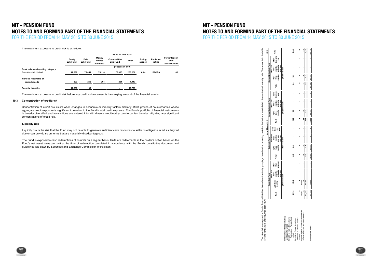### $P_{\rm CUMO}$  receives. The credit risk of the investments as the investments as the investments are made and balances are made as the investments are made and balances are made as the investments are made and balances are m maintained with counter parties that are financial institutions with reasonably high credit ratings. Risk attributable to investment in **NIT - PENSION FUND** government securities is limited as these are guaranteed by the Federal Government. **NOTES TO AND FORMING PART OF THE FINANCIAL STATEMENTS** THE PEDIOD EDOM 14 NAV 2015 TO 20 JUNE 2015

FOR THE PERIOD FROM 14 MAY 2015 TO 30 JUNE 2015

### The maximum exposure to credit risk is as follows:

The maximum exposure to credit risk before any credit enhancement is the carrying amount of the financial assets.

### **19.3 Concentration of credit risk**

|                                                           |                    |                  |                                    | As at 30 June 2015             |                                              |                  |                            |                                         |
|-----------------------------------------------------------|--------------------|------------------|------------------------------------|--------------------------------|----------------------------------------------|------------------|----------------------------|-----------------------------------------|
|                                                           | Equity<br>Sub-Fund | Debt<br>Sub-Fund | Money<br><b>Market</b><br>Sub-Fund | <b>Commodities</b><br>Sub-Fund | <b>Total</b>                                 | Rating<br>agency | <b>Published</b><br>rating | Percentage of<br>total<br>bank balances |
|                                                           |                    |                  |                                    |                                | (Rupees in '000) --------------------------- |                  |                            |                                         |
| Bank balances by rating category<br>Bank Al-Habib Limited | 47.682             | 75.459           | 75.110                             | 75.005                         | 273.256                                      | AA+              | <b>PACRA</b>               | 100                                     |
| Mark-up receivable on                                     |                    |                  |                                    |                                |                                              |                  |                            |                                         |
| bank deposits                                             | 229                | 262              | 261                                | 261                            | 1.013                                        |                  |                            |                                         |
| Security deposits                                         | 12.600             | 100              |                                    | ۰                              | 12,700                                       |                  |                            |                                         |

Concentration of credit risk exists when changes in economic or industry factors similarly affect groups of counterparties whose aggregate credit exposure is significant in relation to the Fund's total credit exposure. The Fund's portfolio of financial instruments is broadly diversified and transactions are entered into with diverse creditworthy counterparties thereby mitigating any significant concentrations of credit risk.

### **Liquidity risk**

Liquidity risk is the risk that the Fund may not be able to generate sufficient cash resources to settle its obligation in full as they fall due or can only do so on terms that are materially disadvantageous.

The Fund is exposed to cash redemptions of its units on a regular basis. Units are redeemable at the holder's option based on the Fund's net asset value per unit at the time of redemption calculated in accordance with the Fund's constitutive document and Fund's rest value per unit at the time of redemption calculated in accordance with the Fund's con guidelines laid down by Securities and Exchange Commission of Pakistan.

# **NIT - PENSION FUND NOTES TO AND FORMING PART OF THE FINANCIAL STATEMENTS** FOR THE PERIOD FROM 14 MAY 2015 TO 30 JUNE 2015

The table below analyses the Fund's financial liabilities into relevant maturity groupings based on the remaining period at the balance sheet date to the contractual maturity date. The amounts in the table **2015 Total than one More year Money Market Sub-Fund More than and upto months three months three Upto Total than one More year Equity Sub-Fund Debt Sub-Fund Money Market Sub-Fund More than and upto months three months Upto three Total As at 30 June 2015**  $\ddot{ }$ **More than one year More than three months and upto monthsUpto three**  꼯 **Total one year More than More than and upto months three**  Total **Jose**<br>odel pro are the contractual undiscounted cash flows. below table I<br>the cor ne<br>Te





**one year**

**------------------------------ (Rupees in 000) ------------------------------ ------------------------------ (Rupees in 000) ------------------------------**

**------------------------------ (Rupees in 000) ------------------------------**

**one year**

**one year**

**------------------------------ (Rupees in 000) ------------------------------**

 $\bar{z}$ 

 $\frac{3}{2}$ 

ះ

్లి

्रभू

ਉ

 $0011$ 

**one year**